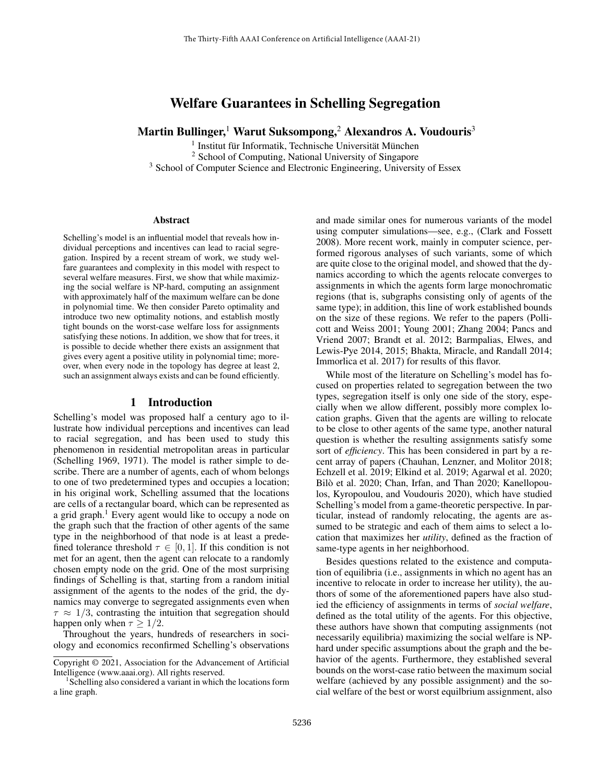# Welfare Guarantees in Schelling Segregation

Martin Bullinger,<sup>1</sup> Warut Suksompong,<sup>2</sup> Alexandros A. Voudouris<sup>3</sup>

<sup>1</sup> Institut für Informatik, Technische Universität München

<sup>2</sup> School of Computing, National University of Singapore

<sup>3</sup> School of Computer Science and Electronic Engineering, University of Essex

#### Abstract

Schelling's model is an influential model that reveals how individual perceptions and incentives can lead to racial segregation. Inspired by a recent stream of work, we study welfare guarantees and complexity in this model with respect to several welfare measures. First, we show that while maximizing the social welfare is NP-hard, computing an assignment with approximately half of the maximum welfare can be done in polynomial time. We then consider Pareto optimality and introduce two new optimality notions, and establish mostly tight bounds on the worst-case welfare loss for assignments satisfying these notions. In addition, we show that for trees, it is possible to decide whether there exists an assignment that gives every agent a positive utility in polynomial time; moreover, when every node in the topology has degree at least 2, such an assignment always exists and can be found efficiently.

## 1 Introduction

Schelling's model was proposed half a century ago to illustrate how individual perceptions and incentives can lead to racial segregation, and has been used to study this phenomenon in residential metropolitan areas in particular (Schelling 1969, 1971). The model is rather simple to describe. There are a number of agents, each of whom belongs to one of two predetermined types and occupies a location; in his original work, Schelling assumed that the locations are cells of a rectangular board, which can be represented as a grid graph.<sup>1</sup> Every agent would like to occupy a node on the graph such that the fraction of other agents of the same type in the neighborhood of that node is at least a predefined tolerance threshold  $\tau \in [0, 1]$ . If this condition is not met for an agent, then the agent can relocate to a randomly chosen empty node on the grid. One of the most surprising findings of Schelling is that, starting from a random initial assignment of the agents to the nodes of the grid, the dynamics may converge to segregated assignments even when  $\tau \approx 1/3$ , contrasting the intuition that segregation should happen only when  $\tau > 1/2$ .

Throughout the years, hundreds of researchers in sociology and economics reconfirmed Schelling's observations

and made similar ones for numerous variants of the model using computer simulations—see, e.g., (Clark and Fossett 2008). More recent work, mainly in computer science, performed rigorous analyses of such variants, some of which are quite close to the original model, and showed that the dynamics according to which the agents relocate converges to assignments in which the agents form large monochromatic regions (that is, subgraphs consisting only of agents of the same type); in addition, this line of work established bounds on the size of these regions. We refer to the papers (Pollicott and Weiss 2001; Young 2001; Zhang 2004; Pancs and Vriend 2007; Brandt et al. 2012; Barmpalias, Elwes, and Lewis-Pye 2014, 2015; Bhakta, Miracle, and Randall 2014; Immorlica et al. 2017) for results of this flavor.

While most of the literature on Schelling's model has focused on properties related to segregation between the two types, segregation itself is only one side of the story, especially when we allow different, possibly more complex location graphs. Given that the agents are willing to relocate to be close to other agents of the same type, another natural question is whether the resulting assignments satisfy some sort of *efficiency*. This has been considered in part by a recent array of papers (Chauhan, Lenzner, and Molitor 2018; Echzell et al. 2019; Elkind et al. 2019; Agarwal et al. 2020; Bilò et al. 2020; Chan, Irfan, and Than 2020; Kanellopoulos, Kyropoulou, and Voudouris 2020), which have studied Schelling's model from a game-theoretic perspective. In particular, instead of randomly relocating, the agents are assumed to be strategic and each of them aims to select a location that maximizes her *utility*, defined as the fraction of same-type agents in her neighborhood.

Besides questions related to the existence and computation of equilibria (i.e., assignments in which no agent has an incentive to relocate in order to increase her utility), the authors of some of the aforementioned papers have also studied the efficiency of assignments in terms of *social welfare*, defined as the total utility of the agents. For this objective, these authors have shown that computing assignments (not necessarily equilibria) maximizing the social welfare is NPhard under specific assumptions about the graph and the behavior of the agents. Furthermore, they established several bounds on the worst-case ratio between the maximum social welfare (achieved by any possible assignment) and the social welfare of the best or worst equilbrium assignment, also

Copyright © 2021, Association for the Advancement of Artificial Intelligence (www.aaai.org). All rights reserved.

<sup>1</sup> Schelling also considered a variant in which the locations form a line graph.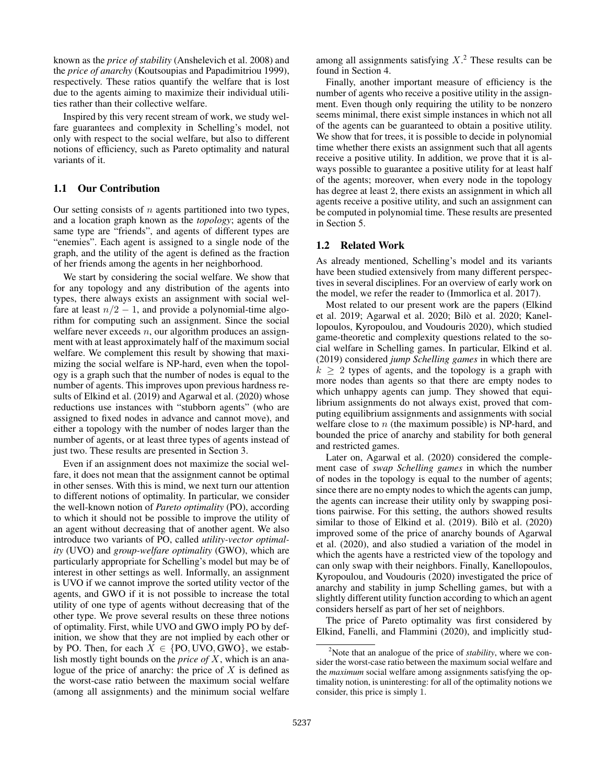known as the *price of stability* (Anshelevich et al. 2008) and the *price of anarchy* (Koutsoupias and Papadimitriou 1999), respectively. These ratios quantify the welfare that is lost due to the agents aiming to maximize their individual utilities rather than their collective welfare.

Inspired by this very recent stream of work, we study welfare guarantees and complexity in Schelling's model, not only with respect to the social welfare, but also to different notions of efficiency, such as Pareto optimality and natural variants of it.

#### 1.1 Our Contribution

Our setting consists of  $n$  agents partitioned into two types, and a location graph known as the *topology*; agents of the same type are "friends", and agents of different types are "enemies". Each agent is assigned to a single node of the graph, and the utility of the agent is defined as the fraction of her friends among the agents in her neighborhood.

We start by considering the social welfare. We show that for any topology and any distribution of the agents into types, there always exists an assignment with social welfare at least  $n/2 - 1$ , and provide a polynomial-time algorithm for computing such an assignment. Since the social welfare never exceeds  $n$ , our algorithm produces an assignment with at least approximately half of the maximum social welfare. We complement this result by showing that maximizing the social welfare is NP-hard, even when the topology is a graph such that the number of nodes is equal to the number of agents. This improves upon previous hardness results of Elkind et al. (2019) and Agarwal et al. (2020) whose reductions use instances with "stubborn agents" (who are assigned to fixed nodes in advance and cannot move), and either a topology with the number of nodes larger than the number of agents, or at least three types of agents instead of just two. These results are presented in Section 3.

Even if an assignment does not maximize the social welfare, it does not mean that the assignment cannot be optimal in other senses. With this is mind, we next turn our attention to different notions of optimality. In particular, we consider the well-known notion of *Pareto optimality* (PO), according to which it should not be possible to improve the utility of an agent without decreasing that of another agent. We also introduce two variants of PO, called *utility-vector optimality* (UVO) and *group-welfare optimality* (GWO), which are particularly appropriate for Schelling's model but may be of interest in other settings as well. Informally, an assignment is UVO if we cannot improve the sorted utility vector of the agents, and GWO if it is not possible to increase the total utility of one type of agents without decreasing that of the other type. We prove several results on these three notions of optimality. First, while UVO and GWO imply PO by definition, we show that they are not implied by each other or by PO. Then, for each  $X \in \{PO, UVO, GWO\}$ , we establish mostly tight bounds on the *price of* X, which is an analogue of the price of anarchy: the price of  $X$  is defined as the worst-case ratio between the maximum social welfare (among all assignments) and the minimum social welfare

among all assignments satisfying  $X<sup>2</sup>$ . These results can be found in Section 4.

Finally, another important measure of efficiency is the number of agents who receive a positive utility in the assignment. Even though only requiring the utility to be nonzero seems minimal, there exist simple instances in which not all of the agents can be guaranteed to obtain a positive utility. We show that for trees, it is possible to decide in polynomial time whether there exists an assignment such that all agents receive a positive utility. In addition, we prove that it is always possible to guarantee a positive utility for at least half of the agents; moreover, when every node in the topology has degree at least 2, there exists an assignment in which all agents receive a positive utility, and such an assignment can be computed in polynomial time. These results are presented in Section 5.

#### 1.2 Related Work

As already mentioned, Schelling's model and its variants have been studied extensively from many different perspectives in several disciplines. For an overview of early work on the model, we refer the reader to (Immorlica et al. 2017).

Most related to our present work are the papers (Elkind et al. 2019; Agarwal et al. 2020; Bilò et al. 2020; Kanellopoulos, Kyropoulou, and Voudouris 2020), which studied game-theoretic and complexity questions related to the social welfare in Schelling games. In particular, Elkind et al. (2019) considered *jump Schelling games* in which there are  $k \geq 2$  types of agents, and the topology is a graph with more nodes than agents so that there are empty nodes to which unhappy agents can jump. They showed that equilibrium assignments do not always exist, proved that computing equilibrium assignments and assignments with social welfare close to  $n$  (the maximum possible) is NP-hard, and bounded the price of anarchy and stability for both general and restricted games.

Later on, Agarwal et al. (2020) considered the complement case of *swap Schelling games* in which the number of nodes in the topology is equal to the number of agents; since there are no empty nodes to which the agents can jump, the agents can increase their utility only by swapping positions pairwise. For this setting, the authors showed results similar to those of Elkind et al. (2019). Bilò et al. (2020) improved some of the price of anarchy bounds of Agarwal et al. (2020), and also studied a variation of the model in which the agents have a restricted view of the topology and can only swap with their neighbors. Finally, Kanellopoulos, Kyropoulou, and Voudouris (2020) investigated the price of anarchy and stability in jump Schelling games, but with a slightly different utility function according to which an agent considers herself as part of her set of neighbors.

The price of Pareto optimality was first considered by Elkind, Fanelli, and Flammini (2020), and implicitly stud-

<sup>2</sup>Note that an analogue of the price of *stability*, where we consider the worst-case ratio between the maximum social welfare and the *maximum* social welfare among assignments satisfying the optimality notion, is uninteresting: for all of the optimality notions we consider, this price is simply 1.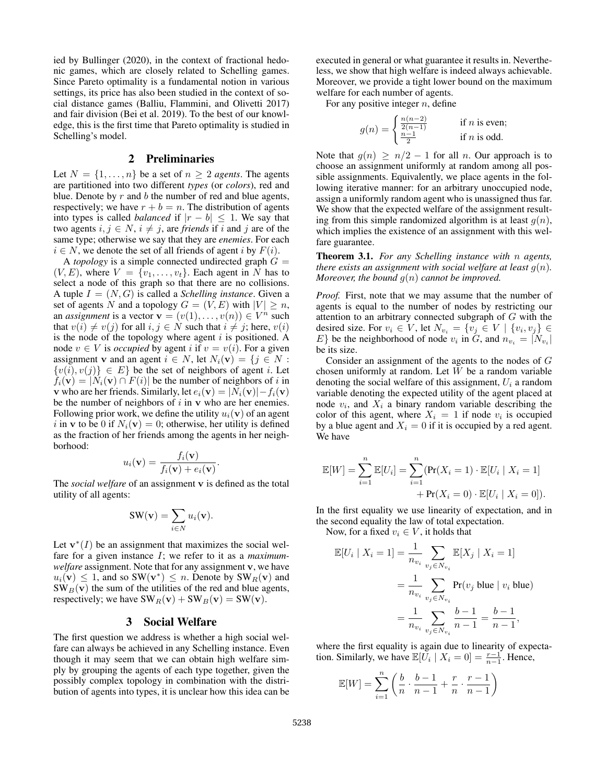ied by Bullinger (2020), in the context of fractional hedonic games, which are closely related to Schelling games. Since Pareto optimality is a fundamental notion in various settings, its price has also been studied in the context of social distance games (Balliu, Flammini, and Olivetti 2017) and fair division (Bei et al. 2019). To the best of our knowledge, this is the first time that Pareto optimality is studied in Schelling's model.

#### 2 Preliminaries

Let  $N = \{1, \ldots, n\}$  be a set of  $n \geq 2$  *agents*. The agents are partitioned into two different *types* (or *colors*), red and blue. Denote by  $r$  and  $b$  the number of red and blue agents, respectively; we have  $r + b = n$ . The distribution of agents into types is called *balanced* if  $|r - b| \leq 1$ . We say that two agents  $i, j \in N$ ,  $i \neq j$ , are *friends* if i and j are of the same type; otherwise we say that they are *enemies*. For each  $i \in N$ , we denote the set of all friends of agent i by  $F(i)$ .

A *topology* is a simple connected undirected graph  $G =$  $(V, E)$ , where  $V = \{v_1, \ldots, v_t\}$ . Each agent in N has to select a node of this graph so that there are no collisions. A tuple  $I = (N, G)$  is called a *Schelling instance*. Given a set of agents N and a topology  $G = (V, E)$  with  $|V| \ge n$ , an *assignment* is a vector  $\mathbf{v} = (v(1), \dots, v(n)) \in V^n$  such that  $v(i) \neq v(j)$  for all  $i, j \in N$  such that  $i \neq j$ ; here,  $v(i)$ is the node of the topology where agent  $i$  is positioned. A node  $v \in V$  is *occupied* by agent i if  $v = v(i)$ . For a given assignment v and an agent  $i \in N$ , let  $N_i(\mathbf{v}) = \{j \in N :$  $\{v(i), v(j)\}\in E\}$  be the set of neighbors of agent *i*. Let  $f_i(\mathbf{v}) = |N_i(\mathbf{v}) \cap F(i)|$  be the number of neighbors of i in v who are her friends. Similarly, let  $e_i(\mathbf{v}) = |N_i(\mathbf{v})| - f_i(\mathbf{v})$ be the number of neighbors of  $i$  in  $\bf{v}$  who are her enemies. Following prior work, we define the utility  $u_i(\mathbf{v})$  of an agent i in v to be 0 if  $N_i(\mathbf{v}) = 0$ ; otherwise, her utility is defined as the fraction of her friends among the agents in her neighborhood:

$$
u_i(\mathbf{v}) = \frac{f_i(\mathbf{v})}{f_i(\mathbf{v}) + e_i(\mathbf{v})}.
$$

The *social welfare* of an assignment v is defined as the total utility of all agents:

$$
SW(\mathbf{v}) = \sum_{i \in N} u_i(\mathbf{v}).
$$

Let  $\mathbf{v}^*(I)$  be an assignment that maximizes the social welfare for a given instance I; we refer to it as a *maximumwelfare* assignment. Note that for any assignment v, we have  $u_i(\mathbf{v}) \leq 1$ , and so SW( $\mathbf{v}^*$ )  $\leq n$ . Denote by SW<sub>R</sub>( $\mathbf{v}$ ) and  $SW_B(v)$  the sum of the utilities of the red and blue agents, respectively; we have  $SW_R(v) + SW_B(v) = SW(v)$ .

## 3 Social Welfare

The first question we address is whether a high social welfare can always be achieved in any Schelling instance. Even though it may seem that we can obtain high welfare simply by grouping the agents of each type together, given the possibly complex topology in combination with the distribution of agents into types, it is unclear how this idea can be

executed in general or what guarantee it results in. Nevertheless, we show that high welfare is indeed always achievable. Moreover, we provide a tight lower bound on the maximum welfare for each number of agents.

For any positive integer  $n$ , define

$$
g(n) = \begin{cases} \frac{n(n-2)}{2(n-1)} & \text{if } n \text{ is even;}\\ \frac{n-1}{2} & \text{if } n \text{ is odd.} \end{cases}
$$

Note that  $g(n) \geq n/2 - 1$  for all n. Our approach is to choose an assignment uniformly at random among all possible assignments. Equivalently, we place agents in the following iterative manner: for an arbitrary unoccupied node, assign a uniformly random agent who is unassigned thus far. We show that the expected welfare of the assignment resulting from this simple randomized algorithm is at least  $g(n)$ , which implies the existence of an assignment with this welfare guarantee.

Theorem 3.1. *For any Schelling instance with* n *agents, there exists an assignment with social welfare at least*  $g(n)$ *. Moreover, the bound* g(n) *cannot be improved.*

*Proof.* First, note that we may assume that the number of agents is equal to the number of nodes by restricting our attention to an arbitrary connected subgraph of G with the desired size. For  $v_i \in V$ , let  $N_{v_i} = \{v_j \in V \mid \{v_i, v_j\} \in$ E} be the neighborhood of node  $v_i$  in G, and  $n_{v_i} = |N_{v_i}|$ be its size.

Consider an assignment of the agents to the nodes of G chosen uniformly at random. Let  $W$  be a random variable denoting the social welfare of this assignment,  $U_i$  a random variable denoting the expected utility of the agent placed at node  $v_i$ , and  $X_i$  a binary random variable describing the color of this agent, where  $X_i = 1$  if node  $v_i$  is occupied by a blue agent and  $X_i = 0$  if it is occupied by a red agent. We have

$$
\mathbb{E}[W] = \sum_{i=1}^{n} \mathbb{E}[U_i] = \sum_{i=1}^{n} (\Pr(X_i = 1) \cdot \mathbb{E}[U_i | X_i = 1] + \Pr(X_i = 0) \cdot \mathbb{E}[U_i | X_i = 0]).
$$

In the first equality we use linearity of expectation, and in the second equality the law of total expectation.

Now, for a fixed  $v_i \in V$ , it holds that

$$
\mathbb{E}[U_i | X_i = 1] = \frac{1}{n_{v_i}} \sum_{v_j \in N_{v_i}} \mathbb{E}[X_j | X_i = 1]
$$
  
= 
$$
\frac{1}{n_{v_i}} \sum_{v_j \in N_{v_i}} \Pr(v_j \text{ blue} | v_i \text{ blue})
$$
  
= 
$$
\frac{1}{n_{v_i}} \sum_{v_j \in N_{v_i}} \frac{b-1}{n-1} = \frac{b-1}{n-1},
$$

where the first equality is again due to linearity of expectation. Similarly, we have  $\mathbb{E}[\overline{U_i} \mid X_i = 0] = \frac{r-1}{n-1}$ . Hence,

$$
\mathbb{E}[W] = \sum_{i=1}^{n} \left( \frac{b}{n} \cdot \frac{b-1}{n-1} + \frac{r}{n} \cdot \frac{r-1}{n-1} \right)
$$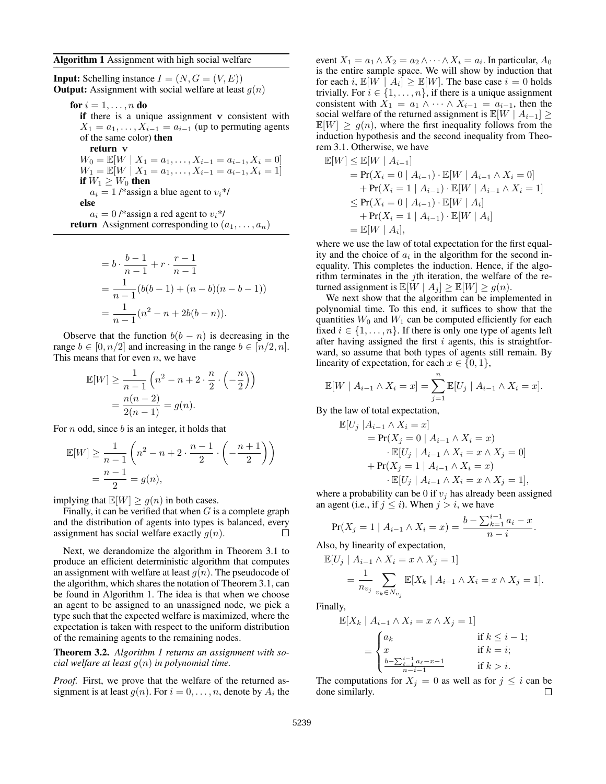#### Algorithm 1 Assignment with high social welfare

**Input:** Schelling instance  $I = (N, G = (V, E))$ **Output:** Assignment with social welfare at least  $q(n)$ 

for  $i = 1, \ldots, n$  do

if there is a unique assignment v consistent with  $X_1 = a_1, \ldots, X_{i-1} = a_{i-1}$  (up to permuting agents of the same color) then

return v  $W_0 = \mathbb{E}[W \mid X_1 = a_1, \ldots, X_{i-1} = a_{i-1}, X_i = 0]$  $W_1 = \mathbb{E}[W \mid X_1 = a_1, \ldots, X_{i-1} = a_{i-1}, X_i = 1]$ if  $W_1 \geq W_0$  then  $a_i = 1$  /\*assign a blue agent to  $v_i$ \*/ else  $a_i = 0$  /\*assign a red agent to  $v_i$ \*/ **return** Assignment corresponding to  $(a_1, \ldots, a_n)$ 

$$
= b \cdot \frac{b-1}{n-1} + r \cdot \frac{r-1}{n-1}
$$
  
= 
$$
\frac{1}{n-1} (b(b-1) + (n-b)(n-b-1))
$$
  
= 
$$
\frac{1}{n-1} (n^2 - n + 2b(b-n)).
$$

Observe that the function  $b(b - n)$  is decreasing in the range  $b \in [0, n/2]$  and increasing in the range  $b \in [n/2, n]$ . This means that for even  $n$ , we have

$$
\mathbb{E}[W] \ge \frac{1}{n-1} \left( n^2 - n + 2 \cdot \frac{n}{2} \cdot \left( -\frac{n}{2} \right) \right)
$$

$$
= \frac{n(n-2)}{2(n-1)} = g(n).
$$

For  $n$  odd, since  $b$  is an integer, it holds that

$$
\mathbb{E}[W] \ge \frac{1}{n-1} \left( n^2 - n + 2 \cdot \frac{n-1}{2} \cdot \left( -\frac{n+1}{2} \right) \right)
$$

$$
= \frac{n-1}{2} = g(n),
$$

implying that  $\mathbb{E}[W] \ge g(n)$  in both cases.

Finally, it can be verified that when  $G$  is a complete graph and the distribution of agents into types is balanced, every assignment has social welfare exactly  $g(n)$ .  $\Box$ 

Next, we derandomize the algorithm in Theorem 3.1 to produce an efficient deterministic algorithm that computes an assignment with welfare at least  $g(n)$ . The pseudocode of the algorithm, which shares the notation of Theorem 3.1, can be found in Algorithm 1. The idea is that when we choose an agent to be assigned to an unassigned node, we pick a type such that the expected welfare is maximized, where the expectation is taken with respect to the uniform distribution of the remaining agents to the remaining nodes.

Theorem 3.2. *Algorithm 1 returns an assignment with social welfare at least* g(n) *in polynomial time.*

*Proof.* First, we prove that the welfare of the returned assignment is at least  $g(n)$ . For  $i = 0, \ldots, n$ , denote by  $A_i$  the

event  $X_1 = a_1 \wedge X_2 = a_2 \wedge \cdots \wedge X_i = a_i$ . In particular,  $A_0$ is the entire sample space. We will show by induction that for each i,  $\mathbb{E}[W \mid A_i] \geq \mathbb{E}[W]$ . The base case  $i = 0$  holds trivially. For  $i \in \{1, \ldots, n\}$ , if there is a unique assignment consistent with  $X_1 = a_1 \wedge \cdots \wedge X_{i-1} = a_{i-1}$ , then the social welfare of the returned assignment is  $\mathbb{E}[W \mid A_{i-1}] \geq$  $\mathbb{E}[W] \geq g(n)$ , where the first inequality follows from the induction hypothesis and the second inequality from Theorem 3.1. Otherwise, we have

$$
\mathbb{E}[W] \leq \mathbb{E}[W | A_{i-1}]
$$
  
=  $\Pr(X_i = 0 | A_{i-1}) \cdot \mathbb{E}[W | A_{i-1} \wedge X_i = 0]$   
+  $\Pr(X_i = 1 | A_{i-1}) \cdot \mathbb{E}[W | A_{i-1} \wedge X_i = 1]$   
 $\leq \Pr(X_i = 0 | A_{i-1}) \cdot \mathbb{E}[W | A_i]$   
+  $\Pr(X_i = 1 | A_{i-1}) \cdot \mathbb{E}[W | A_i]$   
=  $\mathbb{E}[W | A_i],$ 

where we use the law of total expectation for the first equality and the choice of  $a_i$  in the algorithm for the second inequality. This completes the induction. Hence, if the algorithm terminates in the *j*th iteration, the welfare of the returned assignment is  $\mathbb{E}[W \mid A_i] \geq \mathbb{E}[W] \geq g(n)$ .

We next show that the algorithm can be implemented in polynomial time. To this end, it suffices to show that the quantities  $W_0$  and  $W_1$  can be computed efficiently for each fixed  $i \in \{1, \ldots, n\}$ . If there is only one type of agents left after having assigned the first  $i$  agents, this is straightforward, so assume that both types of agents still remain. By linearity of expectation, for each  $x \in \{0, 1\}$ ,

$$
\mathbb{E}[W \mid A_{i-1} \wedge X_i = x] = \sum_{j=1}^n \mathbb{E}[U_j \mid A_{i-1} \wedge X_i = x].
$$

By the law of total expectation,

$$
\mathbb{E}[U_j \mid A_{i-1} \land X_i = x]
$$
  
=  $\Pr(X_j = 0 \mid A_{i-1} \land X_i = x)$   
 $\cdot \mathbb{E}[U_j \mid A_{i-1} \land X_i = x \land X_j = 0]$   
+  $\Pr(X_j = 1 \mid A_{i-1} \land X_i = x)$   
 $\cdot \mathbb{E}[U_j \mid A_{i-1} \land X_i = x \land X_j = 1],$ 

where a probability can be 0 if  $v_j$  has already been assigned an agent (i.e., if  $j \leq i$ ). When  $j > i$ , we have

$$
\Pr(X_j = 1 \mid A_{i-1} \land X_i = x) = \frac{b - \sum_{k=1}^{i-1} a_i - x}{n - i}.
$$

Also, by linearity of expectation,

$$
\mathbb{E}[U_j \mid A_{i-1} \wedge X_i = x \wedge X_j = 1] \n= \frac{1}{n_{v_j}} \sum_{v_k \in N_{v_j}} \mathbb{E}[X_k \mid A_{i-1} \wedge X_i = x \wedge X_j = 1].
$$

Finally,

$$
\mathbb{E}[X_k \mid A_{i-1} \land X_i = x \land X_j = 1]
$$
\n
$$
= \begin{cases}\na_k & \text{if } k \leq i-1; \\
x & \text{if } k = i; \\
\frac{b - \sum_{\ell=1}^{i-1} a_\ell - x - 1}{n - i - 1} & \text{if } k > i.\n\end{cases}
$$

The computations for  $X_j = 0$  as well as for  $j \leq i$  can be done similarly.  $\Box$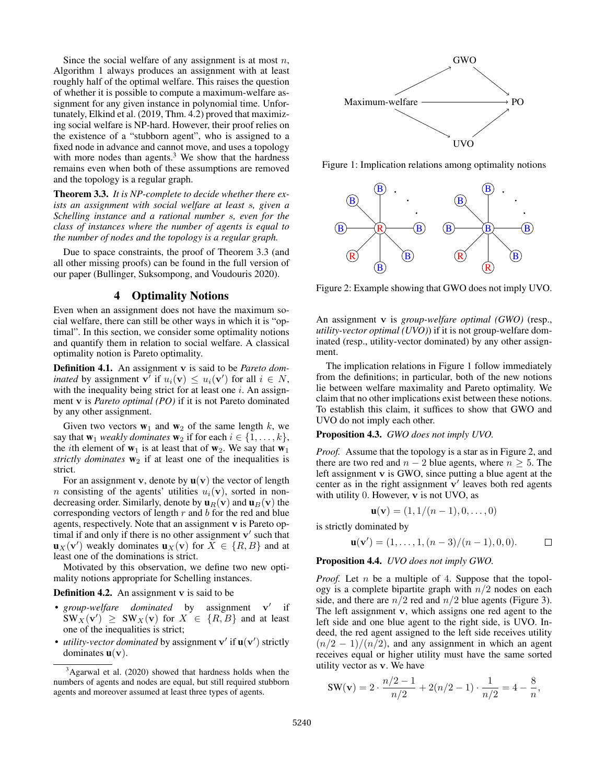Since the social welfare of any assignment is at most  $n$ , Algorithm 1 always produces an assignment with at least roughly half of the optimal welfare. This raises the question of whether it is possible to compute a maximum-welfare assignment for any given instance in polynomial time. Unfortunately, Elkind et al. (2019, Thm. 4.2) proved that maximizing social welfare is NP-hard. However, their proof relies on the existence of a "stubborn agent", who is assigned to a fixed node in advance and cannot move, and uses a topology with more nodes than agents.<sup>3</sup> We show that the hardness remains even when both of these assumptions are removed and the topology is a regular graph.

Theorem 3.3. *It is NP-complete to decide whether there exists an assignment with social welfare at least* s*, given a Schelling instance and a rational number* s*, even for the class of instances where the number of agents is equal to the number of nodes and the topology is a regular graph.*

Due to space constraints, the proof of Theorem 3.3 (and all other missing proofs) can be found in the full version of our paper (Bullinger, Suksompong, and Voudouris 2020).

#### 4 Optimality Notions

Even when an assignment does not have the maximum social welfare, there can still be other ways in which it is "optimal". In this section, we consider some optimality notions and quantify them in relation to social welfare. A classical optimality notion is Pareto optimality.

Definition 4.1. An assignment v is said to be *Pareto dominated* by assignment  $\mathbf{v}^{\mathsf{T}}$  if  $u_i(\mathbf{v}) \leq u_i(\mathbf{v}')$  for all  $i \in N$ , with the inequality being strict for at least one  $i$ . An assignment v is *Pareto optimal (PO)* if it is not Pareto dominated by any other assignment.

Given two vectors  $w_1$  and  $w_2$  of the same length k, we say that  $\mathbf{w}_1$  *weakly dominates*  $\mathbf{w}_2$  if for each  $i \in \{1, \ldots, k\}$ , the *i*th element of  $w_1$  is at least that of  $w_2$ . We say that  $w_1$ *strictly dominates*  $w_2$  if at least one of the inequalities is strict.

For an assignment **v**, denote by  $\mathbf{u}(\mathbf{v})$  the vector of length *n* consisting of the agents' utilities  $u_i(\mathbf{v})$ , sorted in nondecreasing order. Similarly, denote by  $\mathbf{u}_R(\mathbf{v})$  and  $\mathbf{u}_B(\mathbf{v})$  the corresponding vectors of length  $r$  and  $b$  for the red and blue agents, respectively. Note that an assignment v is Pareto optimal if and only if there is no other assignment  $v'$  such that  $\mathbf{u}_X(\mathbf{v}')$  weakly dominates  $\mathbf{u}_X(\mathbf{v})$  for  $\overline{X} \in \{R, B\}$  and at least one of the dominations is strict.

Motivated by this observation, we define two new optimality notions appropriate for Schelling instances.

Definition 4.2. An assignment v is said to be

- *group-welfare dominated* by assignment v' if  $SW_X(v') \geq SW_X(v)$  for  $X \in \{R, B\}$  and at least one of the inequalities is strict;
- *utility-vector dominated* by assignment  $v'$  if  $u(v')$  strictly dominates  $\mathbf{u}(\mathbf{v})$ .



Figure 1: Implication relations among optimality notions



Figure 2: Example showing that GWO does not imply UVO.

An assignment v is *group-welfare optimal (GWO)* (resp., *utility-vector optimal (UVO)*) if it is not group-welfare dominated (resp., utility-vector dominated) by any other assignment.

The implication relations in Figure 1 follow immediately from the definitions; in particular, both of the new notions lie between welfare maximality and Pareto optimality. We claim that no other implications exist between these notions. To establish this claim, it suffices to show that GWO and UVO do not imply each other.

Proposition 4.3. *GWO does not imply UVO.*

*Proof.* Assume that the topology is a star as in Figure 2, and there are two red and  $n - 2$  blue agents, where  $n \geq 5$ . The left assignment v is GWO, since putting a blue agent at the center as in the right assignment  $\mathbf{v}'$  leaves both red agents with utility 0. However, v is not UVO, as

$$
\mathbf{u}(\mathbf{v}) = (1, 1/(n-1), 0, \dots, 0)
$$

is strictly dominated by

$$
\mathbf{u}(\mathbf{v}') = (1, \dots, 1, (n-3)/(n-1), 0, 0). \square
$$

Proposition 4.4. *UVO does not imply GWO.*

*Proof.* Let *n* be a multiple of 4. Suppose that the topology is a complete bipartite graph with  $n/2$  nodes on each side, and there are  $n/2$  red and  $n/2$  blue agents (Figure 3). The left assignment v, which assigns one red agent to the left side and one blue agent to the right side, is UVO. Indeed, the red agent assigned to the left side receives utility  $(n/2 - 1)/(n/2)$ , and any assignment in which an agent receives equal or higher utility must have the same sorted utility vector as v. We have

$$
SW(v) = 2 \cdot \frac{n/2 - 1}{n/2} + 2(n/2 - 1) \cdot \frac{1}{n/2} = 4 - \frac{8}{n},
$$

 $3A$ garwal et al. (2020) showed that hardness holds when the numbers of agents and nodes are equal, but still required stubborn agents and moreover assumed at least three types of agents.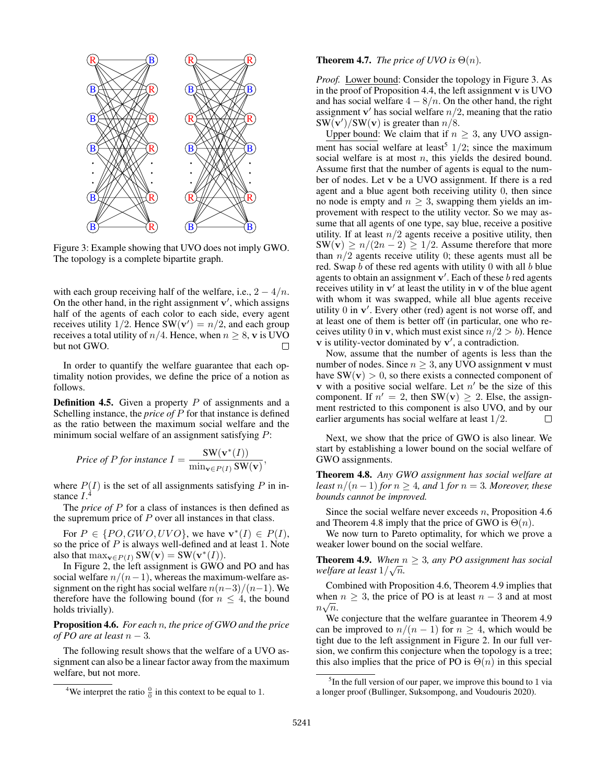

Figure 3: Example showing that UVO does not imply GWO. The topology is a complete bipartite graph.

with each group receiving half of the welfare, i.e.,  $2 - \frac{4}{n}$ . On the other hand, in the right assignment  $v'$ , which assigns half of the agents of each color to each side, every agent receives utility 1/2. Hence SW( $v'$ ) =  $n/2$ , and each group receives a total utility of  $n/4$ . Hence, when  $n \geq 8$ , v is UVO but not GWO. П

In order to quantify the welfare guarantee that each optimality notion provides, we define the price of a notion as follows.

**Definition 4.5.** Given a property  $P$  of assignments and a Schelling instance, the *price of* P for that instance is defined as the ratio between the maximum social welfare and the minimum social welfare of an assignment satisfying P:

$$
Price \ of \ P \ for \ instance \ I = \frac{SW(\mathbf{v}^*(I))}{\min_{\mathbf{v} \in P(I)} SW(\mathbf{v})},
$$

where  $P(I)$  is the set of all assignments satisfying P in instance  $I^4$ .

The *price of* P for a class of instances is then defined as the supremum price of  $P$  over all instances in that class.

For  $P \in \{PO, GWO, UVO\}$ , we have  $\mathbf{v}^*(I) \in P(I)$ , so the price of  $P$  is always well-defined and at least 1. Note also that  $\max_{\mathbf{v} \in P(I)} SW(\mathbf{v}) = SW(\mathbf{v}^*(I)).$ 

In Figure 2, the left assignment is GWO and PO and has social welfare  $n/(n-1)$ , whereas the maximum-welfare assignment on the right has social welfare  $n(n-3)/(n-1)$ . We therefore have the following bound (for  $n \leq 4$ , the bound holds trivially).

# Proposition 4.6. *For each* n*, the price of GWO and the price of PO are at least n* − 3*.*

The following result shows that the welfare of a UVO assignment can also be a linear factor away from the maximum welfare, but not more.

#### **Theorem 4.7.** *The price of UVO is*  $\Theta(n)$ *.*

*Proof.* Lower bound: Consider the topology in Figure 3. As in the proof of Proposition 4.4, the left assignment  $\bf{v}$  is UVO and has social welfare  $4 - 8/n$ . On the other hand, the right assignment  $v'$  has social welfare  $n/2$ , meaning that the ratio  $SW(v)/SW(v)$  is greater than  $n/8$ .

Upper bound: We claim that if  $n \geq 3$ , any UVO assignment has social welfare at least<sup>5</sup>  $1/2$ ; since the maximum social welfare is at most  $n$ , this yields the desired bound. Assume first that the number of agents is equal to the number of nodes. Let v be a UVO assignment. If there is a red agent and a blue agent both receiving utility 0, then since no node is empty and  $n \geq 3$ , swapping them yields an improvement with respect to the utility vector. So we may assume that all agents of one type, say blue, receive a positive utility. If at least  $n/2$  agents receive a positive utility, then  $SW(v) \ge n/(2n-2) \ge 1/2$ . Assume therefore that more than  $n/2$  agents receive utility 0; these agents must all be red. Swap  $b$  of these red agents with utility  $0$  with all  $b$  blue agents to obtain an assignment  $\mathbf{v}'$ . Each of these b red agents receives utility in  $v'$  at least the utility in  $v$  of the blue agent with whom it was swapped, while all blue agents receive utility 0 in v'. Every other (red) agent is not worse off, and at least one of them is better off (in particular, one who receives utility 0 in v, which must exist since  $n/2 > b$ ). Hence  $\bf{v}$  is utility-vector dominated by  $\bf{v}'$ , a contradiction.

Now, assume that the number of agents is less than the number of nodes. Since  $n \geq 3$ , any UVO assignment v must have  $SW(v) > 0$ , so there exists a connected component of **v** with a positive social welfare. Let  $n'$  be the size of this component. If  $n' = 2$ , then SW(v)  $\geq 2$ . Else, the assignment restricted to this component is also UVO, and by our earlier arguments has social welfare at least 1/2.  $\Box$ 

Next, we show that the price of GWO is also linear. We start by establishing a lower bound on the social welfare of GWO assignments.

Theorem 4.8. *Any GWO assignment has social welfare at least*  $n/(n-1)$  *for*  $n \geq 4$ *, and* 1 *for*  $n = 3$ *. Moreover, these bounds cannot be improved.*

Since the social welfare never exceeds  $n$ , Proposition 4.6 and Theorem 4.8 imply that the price of GWO is  $\Theta(n)$ .

We now turn to Pareto optimality, for which we prove a weaker lower bound on the social welfare.

**Theorem 4.9.** *When*  $n \geq 3$ , any PO assignment has social *welfare at least*  $1/\sqrt{n}$ .

Combined with Proposition 4.6, Theorem 4.9 implies that when  $n \geq 3$ , the price of PO is at least  $n-3$  and at most  $n\sqrt{n}$ .

We conjecture that the welfare guarantee in Theorem 4.9 can be improved to  $n/(n-1)$  for  $n \geq 4$ , which would be tight due to the left assignment in Figure 2. In our full version, we confirm this conjecture when the topology is a tree; this also implies that the price of PO is  $\Theta(n)$  in this special

<sup>&</sup>lt;sup>4</sup>We interpret the ratio  $\frac{0}{0}$  in this context to be equal to 1.

<sup>&</sup>lt;sup>5</sup>In the full version of our paper, we improve this bound to 1 via a longer proof (Bullinger, Suksompong, and Voudouris 2020).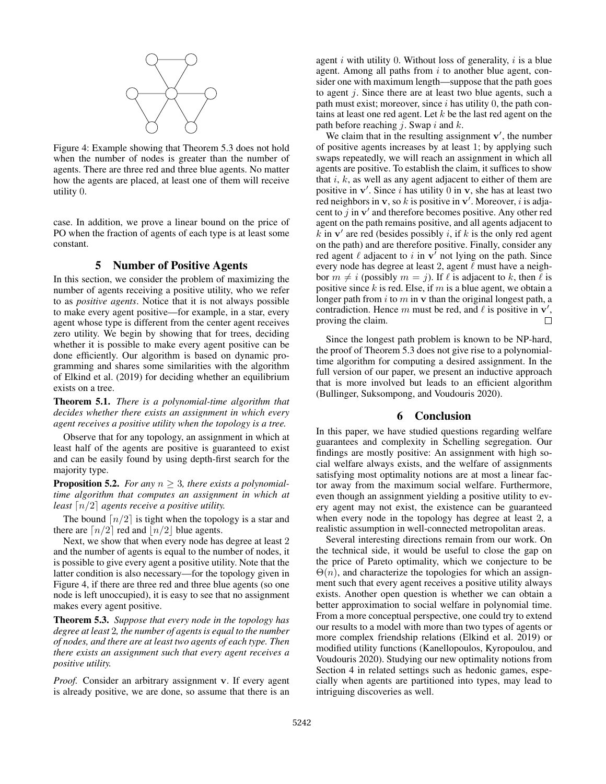

Figure 4: Example showing that Theorem 5.3 does not hold when the number of nodes is greater than the number of agents. There are three red and three blue agents. No matter how the agents are placed, at least one of them will receive utility 0.

case. In addition, we prove a linear bound on the price of PO when the fraction of agents of each type is at least some constant.

# 5 Number of Positive Agents

In this section, we consider the problem of maximizing the number of agents receiving a positive utility, who we refer to as *positive agents*. Notice that it is not always possible to make every agent positive—for example, in a star, every agent whose type is different from the center agent receives zero utility. We begin by showing that for trees, deciding whether it is possible to make every agent positive can be done efficiently. Our algorithm is based on dynamic programming and shares some similarities with the algorithm of Elkind et al. (2019) for deciding whether an equilibrium exists on a tree.

Theorem 5.1. *There is a polynomial-time algorithm that decides whether there exists an assignment in which every agent receives a positive utility when the topology is a tree.*

Observe that for any topology, an assignment in which at least half of the agents are positive is guaranteed to exist and can be easily found by using depth-first search for the majority type.

**Proposition 5.2.** *For any*  $n \geq 3$ *, there exists a polynomialtime algorithm that computes an assignment in which at least*  $\lceil n/2 \rceil$  *agents receive a positive utility.* 

The bound  $\lceil n/2 \rceil$  is tight when the topology is a star and there are  $\lceil n/2 \rceil$  red and  $\lceil n/2 \rceil$  blue agents.

Next, we show that when every node has degree at least 2 and the number of agents is equal to the number of nodes, it is possible to give every agent a positive utility. Note that the latter condition is also necessary—for the topology given in Figure 4, if there are three red and three blue agents (so one node is left unoccupied), it is easy to see that no assignment makes every agent positive.

Theorem 5.3. *Suppose that every node in the topology has degree at least* 2*, the number of agents is equal to the number of nodes, and there are at least two agents of each type. Then there exists an assignment such that every agent receives a positive utility.*

*Proof.* Consider an arbitrary assignment v. If every agent is already positive, we are done, so assume that there is an

agent i with utility 0. Without loss of generality,  $i$  is a blue agent. Among all paths from  $i$  to another blue agent, consider one with maximum length—suppose that the path goes to agent j. Since there are at least two blue agents, such a path must exist; moreover, since  $i$  has utility 0, the path contains at least one red agent. Let  $k$  be the last red agent on the path before reaching  $j$ . Swap  $i$  and  $k$ .

We claim that in the resulting assignment  $v'$ , the number of positive agents increases by at least 1; by applying such swaps repeatedly, we will reach an assignment in which all agents are positive. To establish the claim, it suffices to show that  $i, k$ , as well as any agent adjacent to either of them are positive in  $v'$ . Since i has utility 0 in v, she has at least two red neighbors in v, so k is positive in v'. Moreover, i is adjacent to  $j$  in  $v'$  and therefore becomes positive. Any other red agent on the path remains positive, and all agents adjacent to  $k$  in  $v'$  are red (besides possibly i, if k is the only red agent on the path) and are therefore positive. Finally, consider any red agent  $\ell$  adjacent to i in  $\mathbf{v}^{\dagger}$  not lying on the path. Since every node has degree at least 2, agent  $\ell$  must have a neighbor  $m \neq i$  (possibly  $m = j$ ). If  $\ell$  is adjacent to k, then  $\ell$  is positive since  $k$  is red. Else, if  $m$  is a blue agent, we obtain a longer path from  $i$  to  $m$  in  $\bf{v}$  than the original longest path, a contradiction. Hence m must be red, and  $\ell$  is positive in  $\mathbf{v}'$ , proving the claim.  $\Box$ 

Since the longest path problem is known to be NP-hard, the proof of Theorem 5.3 does not give rise to a polynomialtime algorithm for computing a desired assignment. In the full version of our paper, we present an inductive approach that is more involved but leads to an efficient algorithm (Bullinger, Suksompong, and Voudouris 2020).

# 6 Conclusion

In this paper, we have studied questions regarding welfare guarantees and complexity in Schelling segregation. Our findings are mostly positive: An assignment with high social welfare always exists, and the welfare of assignments satisfying most optimality notions are at most a linear factor away from the maximum social welfare. Furthermore, even though an assignment yielding a positive utility to every agent may not exist, the existence can be guaranteed when every node in the topology has degree at least 2, a realistic assumption in well-connected metropolitan areas.

Several interesting directions remain from our work. On the technical side, it would be useful to close the gap on the price of Pareto optimality, which we conjecture to be  $\Theta(n)$ , and characterize the topologies for which an assignment such that every agent receives a positive utility always exists. Another open question is whether we can obtain a better approximation to social welfare in polynomial time. From a more conceptual perspective, one could try to extend our results to a model with more than two types of agents or more complex friendship relations (Elkind et al. 2019) or modified utility functions (Kanellopoulos, Kyropoulou, and Voudouris 2020). Studying our new optimality notions from Section 4 in related settings such as hedonic games, especially when agents are partitioned into types, may lead to intriguing discoveries as well.